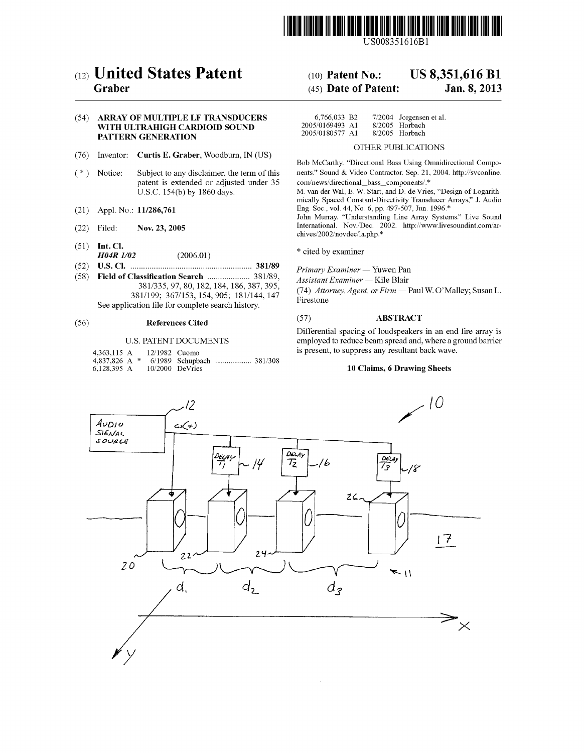

USOO835 1616B1

# (54) ARRAY OF MULTIPLE LF TRANSDUCERS WITH ULTRAHIGH CARDIOID SOUND PATTERN GENERATION

- (76) Inventor: Curtis E. Graber, Woodburn, IN (US) Bob McCarthy. "Directional Bass Using Omnidirectional Compo-
- patent is extended or adjusted under 35 com/news/directional bass components/.\*<br>
U.S.C. 154(b) by 1860 days. M. van der Wal, E. W. Start, and D. de Vries, "Design of Logarith-
- 
- 
- 
- (51) Int. Cl.  $H04R \, I/02$  (2006.01) \* cited by examiner
- (52) U.S. Cl. ........ grgrrr. 381A89 Primary Examiner Yuwen Pan
- Field of Classification Search ....................... 381/89,<br>381/335, 97, 80, 182, 184, 186, 387, 395, See application file for complete search history.

| 4,363,115 A     |  | 12/1982 Cuomo |                   |  |
|-----------------|--|---------------|-------------------|--|
| 4.837.826 A $*$ |  |               |                   |  |
| 6.128.395 A     |  |               | $10/2000$ DeVries |  |

# (12) United States Patent (10) Patent No.: US 8,351,616 B1<br>Graber (45) Date of Patent: Jan. 8, 2013

# $(45)$  Date of Patent:

| 6,766,033 B2    | $7/2004$ Jorgensen et al. |
|-----------------|---------------------------|
| 2005/0169493 A1 | 8/2005 Horbach            |
| 2005/0180577 A1 | $8/2005$ Horbach          |

# OTHER PUBLICATIONS

(\*) Notice: Subject to any disclaimer, the term of this nents." Sound & Video Contractor. Sep. 21, 2004. http://svconline.

mically Spaced Constant-Directivity Transducer Arrays." J. Audio<br>Eng. Soc., vol. 44, No. 6, pp. 497-507, Jun. 1996.\*

(21) Appl. No.: 11/286,761 Eng. Soc., vol. 44, No. 0, pp. 497-507, Jun. 1990.<br>John Murray. "Understanding Line Array Systems." Live Sound (22) Filed: Nov. 23, 2005 International. Nov. Dec. 2002. http://www.livesoundint.com/archives/2002/novdec/la.php.\*

381/355, 97, 80, 182, 184, 186, 387, 395, 387, 396, 381/199; 367/153, 154, 905; 181/144, 147 Firestone

# (56) References Cited (57) ABSTRACT

Differential spacing of loudspeakers in an end fire array is U.S. PATENT DOCUMENTS employed to reduce beam spread and, where a ground barrier is present, to suppress any resultant back wave.

### 10 Claims, 6 Drawing Sheets

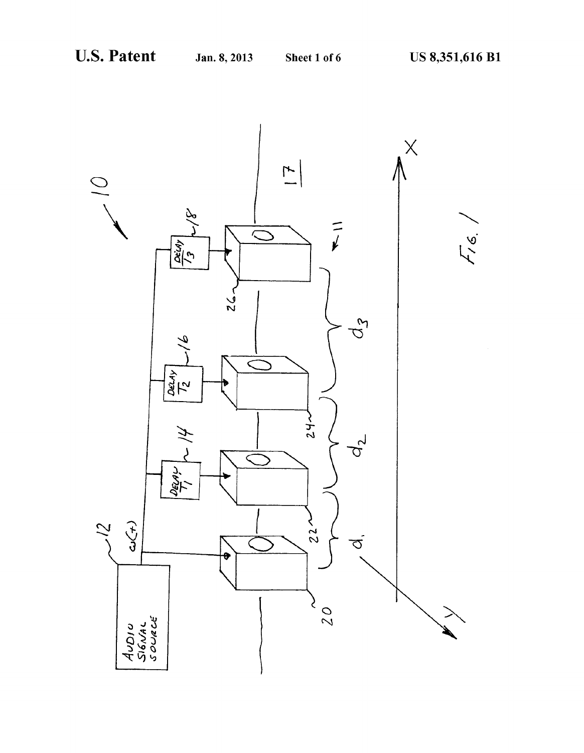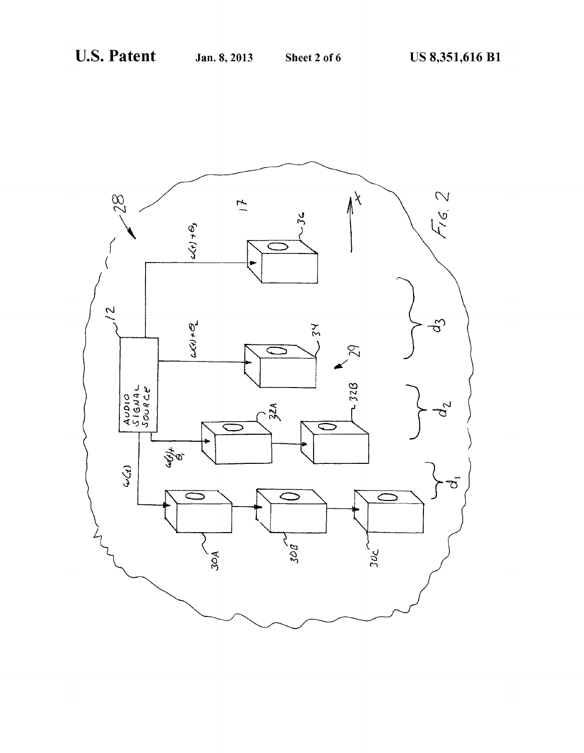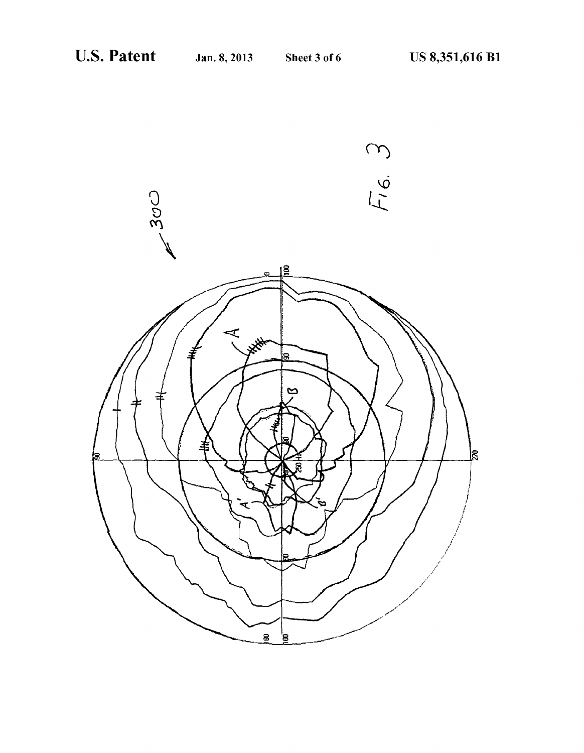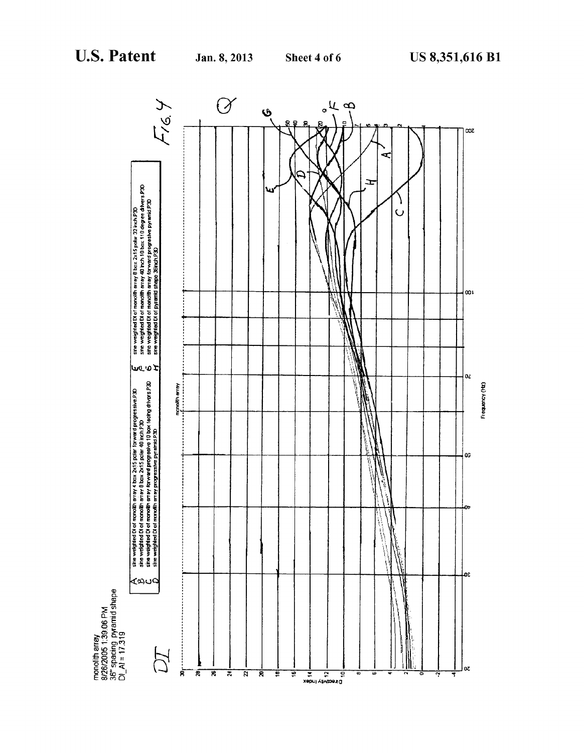

monolith array<br>8/26/2005 1:39:06 PM<br>36" spacing\_pyramid shape<br>DI\_AI = 17:319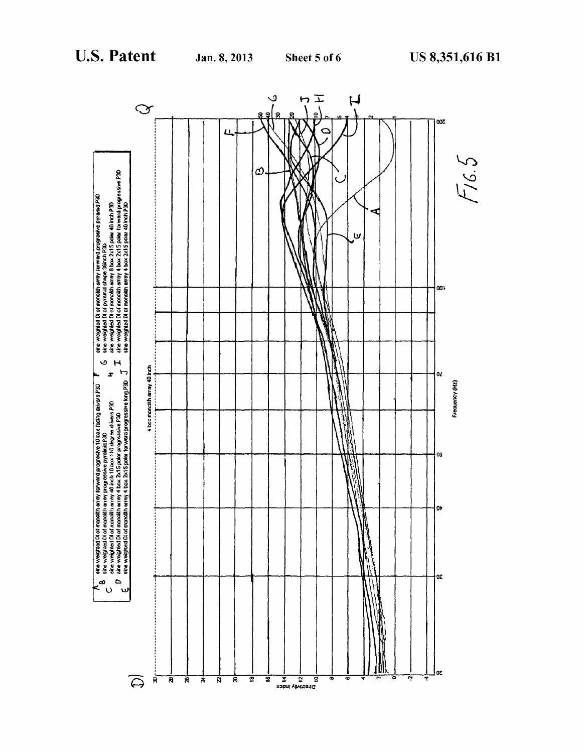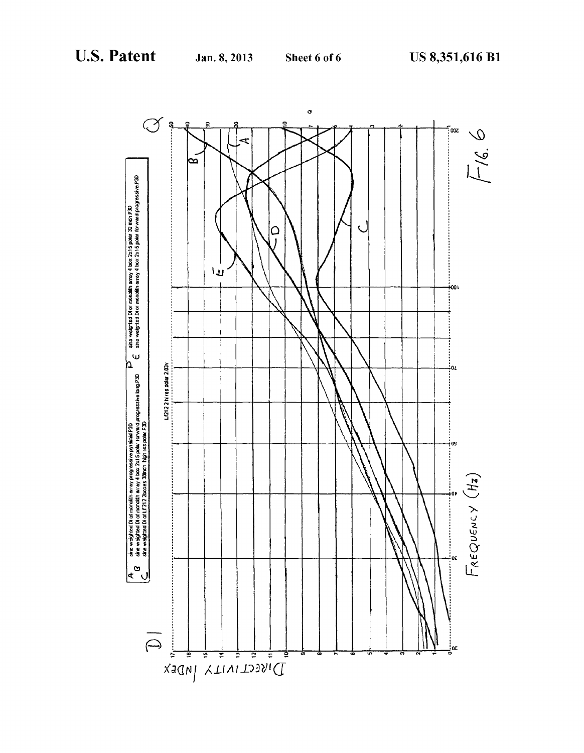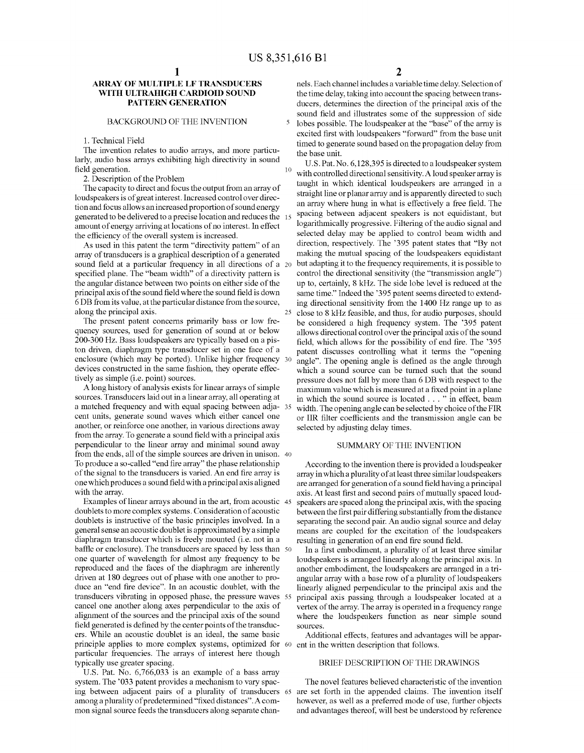10

5

25

# ARRAY OF MULTIPLE LF TRANSDUCERS WITH ULTRAHIGH CARDIOID SOUND PATTERN GENERATION

# BACKGROUND OF THE INVENTION

1. Technical Field

The invention relates to audio arrays, and more particularly, audio bass arrays exhibiting high directivity in sound field generation.

2. Description of the Problem

The capacity to direct and focus the output from an array of loudspeakers is of great interest. Increased control over direc tion and focus allows an increased proportion of sound energy generated to be delivered to a precise location and reduces the 15 amount of energy arriving at locations of no interest. In effect the efficiency of the overall system is increased.

As used in this patent the term "directivity pattern' of an array of transducers is a graphical description of a generated sound field at a particular frequency in all directions of a 20 specified plane. The "beam width" of a directivity pattern is the angular distance between two points on either side of the principal axis of the sound field where the sound field is down 6 DB from its value, at the particular distance from the source, along the principal axis.

The present patent concerns primarily bass or low fre quency sources, used for generation of sound at or below 200-300 Hz. Bass loudspeakers are typically based on a pis ton driven, diaphragm type transducer set in one face of a enclosure (which may be ported). Unlike higher frequency 30 devices constructed in the same fashion, they operate effec tively as simple (i.e. point) sources.

Along history of analysis exists for linear arrays of simple sources. Transducers laid out in a linear array, all operating at a matched frequency and with equal spacing between adja- 35 cent units, generate sound waves which either cancel one another, or reinforce one another, in various directions away from the array. To generate a sound field with a principal axis perpendicular to the linear array and minimal sound away from the ends, all of the simple sources are driven in unison. 40 To produce a so-called "end firearray' the phase relationship of the signal to the transducers is varied. An end fire array is one which produces a Sound field with a principal axis aligned with the array.

Examples of linear arrays abound in the art, from acoustic 45 doublets to more complex systems. Consideration of acoustic doublets is instructive of the basic principles involved. In a general sense an acoustic doublet is approximated by a simple diaphragm transducer which is freely mounted (i.e. not in a baffle or enclosure). The transducers are spaced by less than 50 one quarter of wavelength for almost any frequency to be reproduced and the faces of the diaphragm are inherently driven at 180 degrees out of phase with one another to pro duce an "end fire device'. In an acoustic doublet, with the transducers vibrating in opposed phase, the pressure waves 55 cancel one another along axes perpendicular to the axis of alignment of the sources and the principal axis of the sound field generated is defined by the center points of the transducers. While an acoustic doublet is an ideal, the same basic principle applies to more complex systems, optimized for 60 ent in the written description that follows. particular frequencies. The arrays of interest here though typically use greater spacing.

U.S. Pat. No. 6,766,033 is an example of a bass array system. The '033 patent provides a mechanism to vary spacing between adjacent pairs of a plurality of transducers 65 among a plurality of predetermined "fixed distances'. A com mon signal source feeds the transducers along separate chan

nels. Each channel includes a variable time delay. Selection of the time delay, taking into account the spacing between trans ducers, determines the direction of the principal axis of the sound field and illustrates some of the suppression of side lobes possible. The loudspeaker at the "base' of the array is excited first with loudspeakers "forward" from the base unit timed to generate sound based on the propagation delay from the base unit.

U.S. Pat. No. 6,128,395 is directed to a loudspeaker system with controlled directional sensitivity. A loud speaker array is taught in which identical loudspeakers are arranged in a straight line or planar array and is apparently directed to Such an array where hung in what is effectively a free field. The spacing between adjacent speakers is not equidistant, but logarithmically progressive. Filtering of the audio signal and selected delay may be applied to control beam width and direction, respectively. The 395 patent states that "By not making the mutual spacing of the loudspeakers equidistant but adapting it to the frequency requirements, it is possible to control the directional sensitivity (the "transmission angle') up to, certainly, 8 kHz. The side lobe level is reduced at the same time." Indeed the '395 patent seems directed to extending directional sensitivity from the 1400 Hz range up to as close to 8 kHz feasible, and thus, for audio purposes, should be considered a high frequency system. The '395 patent allows directional control over the principal axis of the sound field, which allows for the possibility of end fire. The '395 patent discusses controlling what it terms the "opening angle'. The opening angle is defined as the angle through which a sound source can be turned such that the sound pressure does not fall by more than 6 DB with respect to the maximum value which is measured at a fixed point in a plane in which the sound source is located  $\dots$  in effect, beam width. The opening angle can be selected by choice of the FIR or IIR filter coefficients and the transmission angle can be selected by adjusting delay times.

# SUMMARY OF THE INVENTION

According to the invention there is provided a loudspeaker array in which a plurality of at least three similarloudspeakers are arranged for generation of a sound field having a principal axis. At least first and second pairs of mutually spaced loud speakers are spaced along the principal axis, with the spacing between the first pair differing substantially from the distance separating the second pair. An audio signal source and delay means are coupled for the excitation of the loudspeakers resulting in generation of an end fire sound field.

In a first embodiment, a plurality of at least three similar loudspeakers is arranged linearly along the principal axis. In another embodiment, the loudspeakers are arranged in a tri linearly aligned perpendicular to the principal axis and the principal axis passing through a loudspeaker located at a Vertex of the array. The array is operated in a frequency range where the loudspeakers function as near simple sound sources.

Additional effects, features and advantages will be appar

### BRIEF DESCRIPTION OF THE DRAWINGS

The novel features believed characteristic of the invention are set forth in the appended claims. The invention itself however, as well as a preferred mode of use, further objects and advantages thereof, will best be understood by reference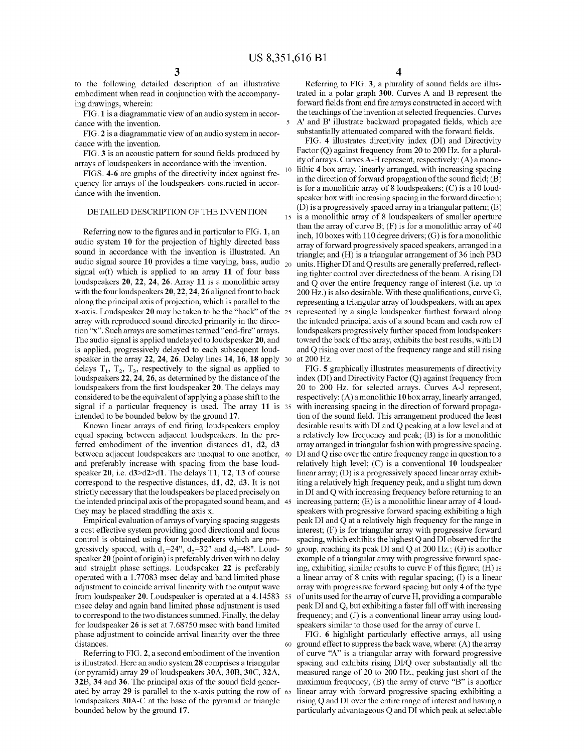5

10

15

30

to the following detailed description of an illustrative embodiment when read in conjunction with the accompany ing drawings, wherein:

FIG. 1 is a diagrammatic view of an audio system in accor dance with the invention.

FIG. 2 is a diagrammatic view of an audio system in accor dance with the invention.

FIG. 3 is an acoustic pattern for sound fields produced by arrays of loudspeakers in accordance with the invention.

FIGS. 4-6 are graphs of the directivity index against fre quency for arrays of the loudspeakers constructed in accor dance with the invention.

# DETAILED DESCRIPTION OF THE INVENTION

Referring now to the figures and in particular to FIG. 1, an audio system 10 for the projection of highly directed bass sound in accordance with the invention is illustrated. An audio signal source 10 provides a time varying, bass, audio  $_{20}$ signal  $\omega(t)$  which is applied to an array 11 of four bass loudspeakers 20, 22, 24, 26. Array 11 is a monolithic array with the four loudspeakers 20, 22, 24, 26 aligned front to back along the principal axis of projection, which is parallel to the  $x$ -axis. Loudspeaker 20 may be taken to be the "back" of the  $25$ array with reproduced sound directed primarily in the direction "x". Such arrays are sometimes termed "end-fire" arrays. The audio signal is applied undelayed to loudspeaker 20, and is applied, progressively delayed to each subsequent loudspeaker in the array 22, 24, 26. Delay lines 14, 16, 18 apply delays  $T_1$ ,  $T_2$ ,  $T_3$ , respectively to the signal as applied to loudspeakers 22, 24, 26, as determined by the distance of the loudspeakers from the first loudspeaker 20. The delays may considered to be the equivalent of applying a phase shift to the signal if a particular frequency is used. The array 11 is 35 intended to be bounded below by the ground 17.<br>Known linear arrays of end firing loudspeakers employ

equal spacing between adjacent loudspeakers. In the preferred embodiment of the invention distances  $d1$ ,  $d2$ ,  $d3$ between adjacent loudspeakers are unequal to one another, 40 and preferably increase with spacing from the base loud speaker 20, i.e. d3>d2>d1. The delays T1, T2, T3 of course correspond to the respective distances,  $d1$ ,  $d2$ ,  $d3$ . It is not strictly necessary that the loudspeakers be placed precisely on the intended principal axis of the propagated Sound beam, and 45 they may be placed straddling the axis X.

Empirical evaluation of arrays of varying spacing suggests a cost effective system providing good directional and focus control is obtained using four loudspeakers which are pro gressively spaced, with  $d_1=24$ ",  $d_2=32$ " and  $d_3=48$ ". Loud- 50 speaker 20 (point of origin) is preferably driven with no delay and straight phase settings. Loudspeaker 22 is preferably operated with a 1.77083 msec delay and band limited phase adjustment to coincide arrival linearity with the output wave from loudspeaker 20. Loudspeaker is operated at a 4.14583 55 msec delay and again band limited phase adjustment is used to correspond to the two distances summed. Finally, the delay for loudspeaker 26 is set at 7.68750 msec with band limited phase adjustment to coincide arrival linearity over the three distances.

Referring to FIG. 2, a second embodiment of the invention is illustrated. Here an audio system 28 comprises a triangular (or pyramid) array 29 of loudspeakers 30A, 30B, 30C, 32A, 32B, 34 and 36. The principal axis of the sound field gener ated by array 29 is parallel to the x-axis putting the row of 65 loudspeakers 30A-C at the base of the pyramid or triangle bounded below by the ground 17.

Referring to FIG. 3, a plurality of sound fields are illus trated in a polar graph 300. Curves A and B represent the forward fields from end fire arrays constructed in accord with the teachings of the invention at selected frequencies. Curves A' and B' illustrate backward propagated fields, which are substantially attenuated compared with the forward fields.

FIG. 4 illustrates directivity index (DI) and Directivity Factor (Q) against frequency from 20 to 200 Hz. for a plurality of arrays. Curves A-H represent, respectively:  $(A)$  a monolithic 4 box array, linearly arranged, with increasing spacing in the direction of forward propagation of the sound field; (B) is for a monolithic array of 8 loudspeakers; (C) is a 10 loud speaker box with increasing spacing in the forward direction; (D) is a progressively spaced array in a triangular pattern; (E) is a monolithic array of 8 loudspeakers of Smaller aperture than the array of curve  $B$ ;  $(F)$  is for a monolithic array of 40 inch, 10 boxes with 110 degree drivers; (G) is for a monolithic array of forward progressively spaced speakers, arranged in a triangle; and (H) is a triangular arrangement of 36 inch P3D units. Higher DI and Q results are generally preferred, reflect ing tighter control over directedness of the beam. A rising DI and Q over the entire frequency range of interest (i.e. up to 200 HZ.) is also desirable. With these qualifications, curve G. representing a triangular array of loudspeakers, with an apex represented by a single loudspeaker furthest forward along the intended principal axis of a Sound beam and each row of loudspeakers progressively further spaced from loudspeakers toward the back of the array, exhibits the best results, with DI and Q rising over most of the frequency range and still rising at 200 HZ.

FIG. 5 graphically illustrates measurements of directivity index (DI) and Directivity Factor (Q) against frequency from 20 to 200 Hz. for selected arrays. Curves A-J represent, respectively:  $(A)$  a monolithic 10 box array, linearly arranged, with increasing spacing in the direction of forward propaga tion of the sound field. This arrangement produced the least desirable results with DI and Q peaking at a low level and at a relatively low frequency and peak; (B) is for a monolithic array arranged in triangular fashion with progressive spacing. DI and Q rise over the entire frequency range in question to a relatively high level;  $(C)$  is a conventional 10 loudspeaker linear array; (D) is a progressively spaced linear array exhibiting a relatively high frequency peak, and a slight turn down in DI and Q with increasing frequency before returning to an increasing pattern; (E) is a monolithic linear array of 4 loud speakers with progressive forward spacing exhibiting a high peak DI and Q at a relatively high frequency for the range in interest, (F) is for triangular array with progressive forward spacing, which exhibits the highest Q and DI observed for the group, reaching its peak DI and Q at 200 Hz.; (G) is another example of a triangular array with progressive forward spac ing, exhibiting similar results to curve F of this figure; (H) is a linear array of 8 units with regular spacing; (I) is a linear array with progressive forward spacing but only 4 of the type of units used for the array of curve H, providing a comparable peak DI and Q, but exhibiting a faster fall off with increasing frequency; and (J) is a conventional linear array using loud speakers similar to those used for the array of curve I.

60 ground effect to suppress the back wave, where: (A) the array FIG. 6 highlight particularly effective arrays, all using of curve "A" is a triangular array with forward progressive spacing and exhibits rising DI/Q over substantially all the measured range of 20 to 200 Hz., peaking just short of the maximum frequency; (B) the array of curve "B" is another linear array with forward progressive spacing exhibiting a rising Q and DI over the entire range of interest and having a particularly advantageous Q and DI which peak at selectable